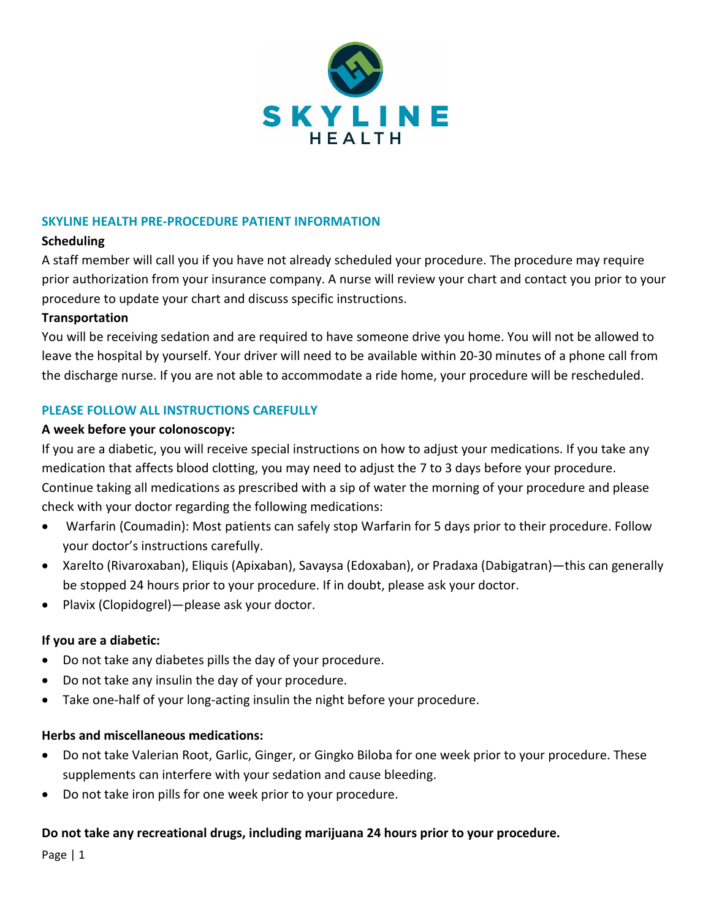

### **SKYLINE HEALTH PRE-PROCEDURE PATIENT INFORMATION**

## **Scheduling**

A staff member will call you if you have not already scheduled your procedure. The procedure may require prior authorization from your insurance company. A nurse will review your chart and contact you prior to your procedure to update your chart and discuss specific instructions.

## **Transportation**

You will be receiving sedation and are required to have someone drive you home. You will not be allowed to leave the hospital by yourself. Your driver will need to be available within 20-30 minutes of a phone call from the discharge nurse. If you are not able to accommodate a ride home, your procedure will be rescheduled.

# **PLEASE FOLLOW ALL INSTRUCTIONS CAREFULLY**

### **A week before your colonoscopy:**

If you are a diabetic, you will receive special instructions on how to adjust your medications. If you take any medication that affects blood clotting, you may need to adjust the 7 to 3 days before your procedure. Continue taking all medications as prescribed with a sip of water the morning of your procedure and please check with your doctor regarding the following medications:

- Warfarin (Coumadin): Most patients can safely stop Warfarin for 5 days prior to their procedure. Follow your doctor's instructions carefully.
- Xarelto (Rivaroxaban), Eliquis (Apixaban), Savaysa (Edoxaban), or Pradaxa (Dabigatran)—this can generally be stopped 24 hours prior to your procedure. If in doubt, please ask your doctor.
- Plavix (Clopidogrel)—please ask your doctor.

# **If you are a diabetic:**

- Do not take any diabetes pills the day of your procedure.
- Do not take any insulin the day of your procedure.
- Take one-half of your long-acting insulin the night before your procedure.

# **Herbs and miscellaneous medications:**

- Do not take Valerian Root, Garlic, Ginger, or Gingko Biloba for one week prior to your procedure. These supplements can interfere with your sedation and cause bleeding.
- Do not take iron pills for one week prior to your procedure.

# **Do not take any recreational drugs, including marijuana 24 hours prior to your procedure.**

Page | 1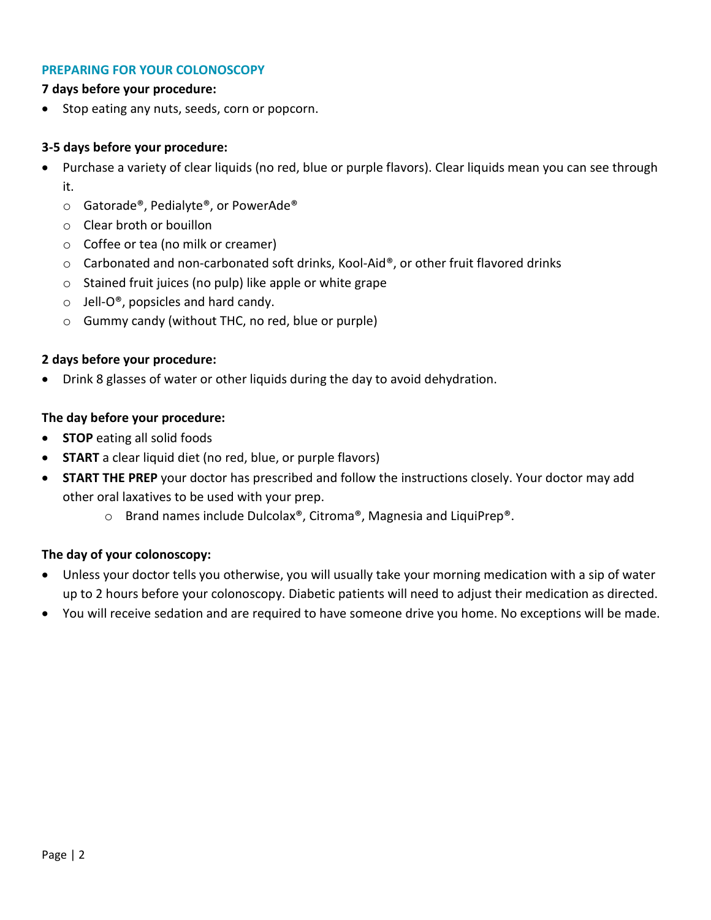#### **PREPARING FOR YOUR COLONOSCOPY**

#### **7 days before your procedure:**

Stop eating any nuts, seeds, corn or popcorn.

### **3-5 days before your procedure:**

- Purchase a variety of clear liquids (no red, blue or purple flavors). Clear liquids mean you can see through it.
	- o Gatorade®, Pedialyte®, or PowerAde®
	- o Clear broth or bouillon
	- o Coffee or tea (no milk or creamer)
	- $\circ$  Carbonated and non-carbonated soft drinks, Kool-Aid®, or other fruit flavored drinks
	- o Stained fruit juices (no pulp) like apple or white grape
	- $\circ$  Jell-O®, popsicles and hard candy.
	- o Gummy candy (without THC, no red, blue or purple)

## **2 days before your procedure:**

• Drink 8 glasses of water or other liquids during the day to avoid dehydration.

## **The day before your procedure:**

- **STOP** eating all solid foods
- **START** a clear liquid diet (no red, blue, or purple flavors)
- **START THE PREP** your doctor has prescribed and follow the instructions closely. Your doctor may add other oral laxatives to be used with your prep.
	- o Brand names include Dulcolax®, Citroma®, Magnesia and LiquiPrep®.

# **The day of your colonoscopy:**

- Unless your doctor tells you otherwise, you will usually take your morning medication with a sip of water up to 2 hours before your colonoscopy. Diabetic patients will need to adjust their medication as directed.
- You will receive sedation and are required to have someone drive you home. No exceptions will be made.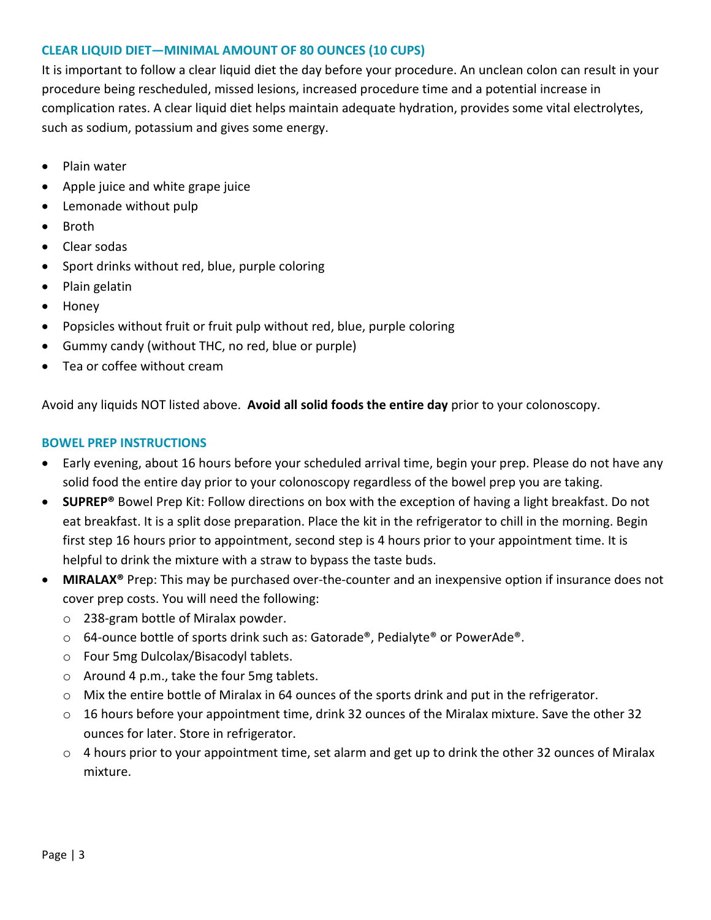# **CLEAR LIQUID DIET—MINIMAL AMOUNT OF 80 OUNCES (10 CUPS)**

It is important to follow a clear liquid diet the day before your procedure. An unclean colon can result in your procedure being rescheduled, missed lesions, increased procedure time and a potential increase in complication rates. A clear liquid diet helps maintain adequate hydration, provides some vital electrolytes, such as sodium, potassium and gives some energy.

- Plain water
- Apple juice and white grape juice
- Lemonade without pulp
- Broth
- Clear sodas
- Sport drinks without red, blue, purple coloring
- Plain gelatin
- Honey
- Popsicles without fruit or fruit pulp without red, blue, purple coloring
- Gummy candy (without THC, no red, blue or purple)
- Tea or coffee without cream

Avoid any liquids NOT listed above. **Avoid all solid foods the entire day** prior to your colonoscopy.

# **BOWEL PREP INSTRUCTIONS**

- Early evening, about 16 hours before your scheduled arrival time, begin your prep. Please do not have any solid food the entire day prior to your colonoscopy regardless of the bowel prep you are taking.
- **SUPREP®** Bowel Prep Kit: Follow directions on box with the exception of having a light breakfast. Do not eat breakfast. It is a split dose preparation. Place the kit in the refrigerator to chill in the morning. Begin first step 16 hours prior to appointment, second step is 4 hours prior to your appointment time. It is helpful to drink the mixture with a straw to bypass the taste buds.
- **MIRALAX®** Prep: This may be purchased over-the-counter and an inexpensive option if insurance does not cover prep costs. You will need the following:
	- o 238-gram bottle of Miralax powder.
	- $\circ$  64-ounce bottle of sports drink such as: Gatorade®, Pedialyte® or PowerAde®.
	- o Four 5mg Dulcolax/Bisacodyl tablets.
	- o Around 4 p.m., take the four 5mg tablets.
	- o Mix the entire bottle of Miralax in 64 ounces of the sports drink and put in the refrigerator.
	- $\circ$  16 hours before your appointment time, drink 32 ounces of the Miralax mixture. Save the other 32 ounces for later. Store in refrigerator.
	- $\circ$  4 hours prior to your appointment time, set alarm and get up to drink the other 32 ounces of Miralax mixture.